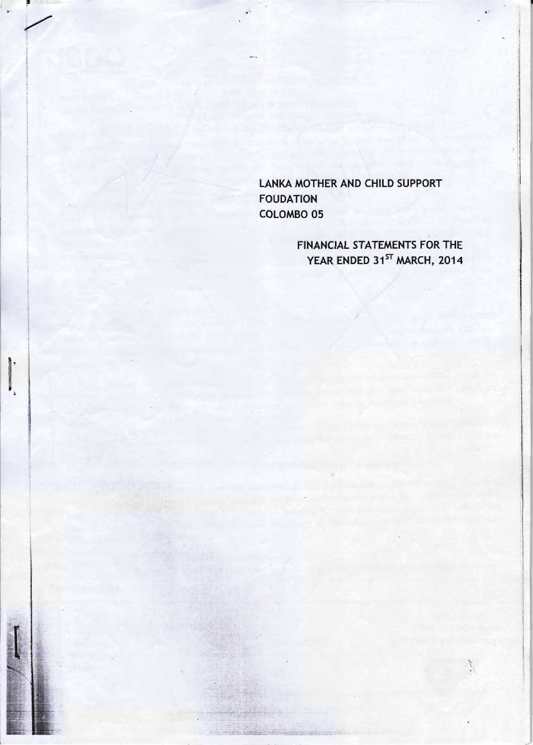LANKA MOTHER AND CHILD SUPPORT **FOUDATION** COLOMBO 05

**FINANCIAL STATEMENTS FOR THE** YEAR ENDED 31ST MARCH, 2014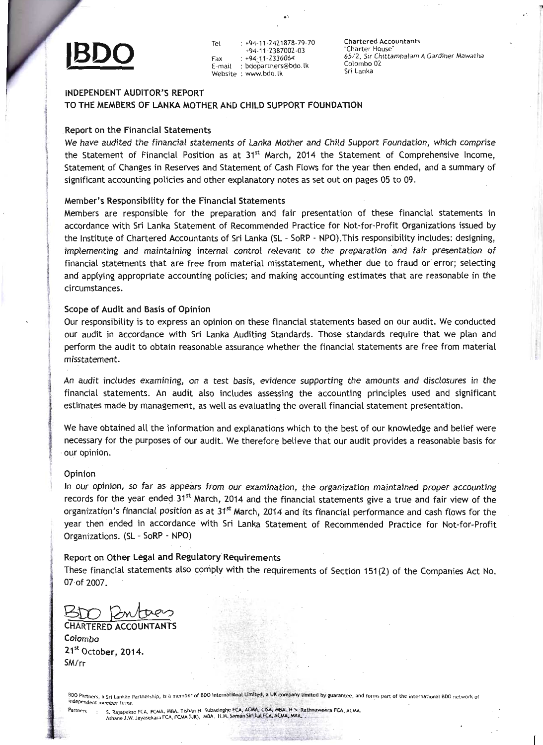

Tet : +94-11-2421878-79<br>  $\bullet$  +94-11-2387002-03<br>
Fax : +94-11-2336064<br>
E-mail : bdopartners@bdo.lk<br>
Website : www.bdo.lk +94-11-2387002-03 Fax : +94-11-2336064<br>E-mail : bdopartners@bd bdopartners@bdo.lk Website : www.bdo.lk

Chartered Accountants "Charter House" 65/2, Sir Chittampalam A Gardiner Mawatha Colombo<sub>02</sub> Sri Lanka

 $\mathbf{r}$ 

# INDEPENDENT AUDITOR'S REPORT TO THE MEMBERS OF LANKA MOTHER AND CHILD SUPPORT FOUNDATION

### Report on the Financial Statements

We have audited the financial statements of Lanka Mother and Child Support Foundation, which comprise the Statement of Financial Position as at  $31<sup>st</sup>$  March, 2014 the Statement of Comprehensive Income, Statement of Changes in Reserves and Statement of Cash Flows for the year then ended, and a summary of significant accounting policies and other explanatory notes as set out on pages 05 to 09.

## Member's Responsibitity for the Financial Statements

Members are responsibte for the preparation and fair presentation of these financiat statements in accordance with sri Lanka statement of Recommended practice for Not-for-profit organizations issued by the Institute of Chartered Accountants of Sri Lanka (SL - SoRP - NPO). This responsibility includes: designing, imptementing and maintaining internat controt retevant to the preparation and fair presentation of financiat statements that are free from materiat misstatement, whether due to fraud or error; setecting and applying appropriate accounting policies; and making accounting estimates that are reasonable in the circumstances.

Scope of Audit and Basis of Opinion<br>Our responsibility is to express an opinion on these financial statements based on 0 Our responsibility is to express an opinion on these financial statements based on our audit. We conducted our audit in accordance with sri Lanka Auditing Standards. Those standards require that we ptan and perform the audit to obtain reasonabte assurance whether the financial statements are free from materiat misstatement.

An audit includes examining, on a test basis, evidence supporting the amounts and disclosures in the financial statements. An audit also includes assessing the accounting principles used and significant estimates made by management, as well as evaluating the overall financial statement presentation.

We have obtained all the information and explanations which to the best of our knowledge and belief were necessary for the purposes of our audit. we therefore betieve that our audit provides a reasonabte basis for our opinion.

Jpinion<br>n our opinion, so far as appears from our examination, the organization maintained proper accounting records for the year ended 31st March, 2014 and the financial statements give a true and fair view of the organization's financial position as at 31<sup>st</sup> March, 2014 and its financial performance and cash flows for the year then ended in accordance with Sri Lanka Statement of Recommended Practice for Not-for-Profit Organizations. (51- SoRP - NPO)

eport on Oth<mark>er Legal and Regulatory Requirements</mark><br>hese financial statements also comply with the requirements of Soction 151(2) of t hese financial statements also comply with the requirements of Section 151(2) of the Companies Act No. 07 of 2007.

CHARTERED ACCOUN<br>Colombo Colombo '' ''''''''''''''''''''''''''<br>.. SM/rr

BDO Partners, a Sri Lankan Partnership, is a member of BDO International Limited, a UK company limited by guarantee, and forms part of the international BDO network of<br>independent member firms.

:..ai,.:ii=::r!;-t':-'j.':r-:::i:fi-'::";n1:''i'r"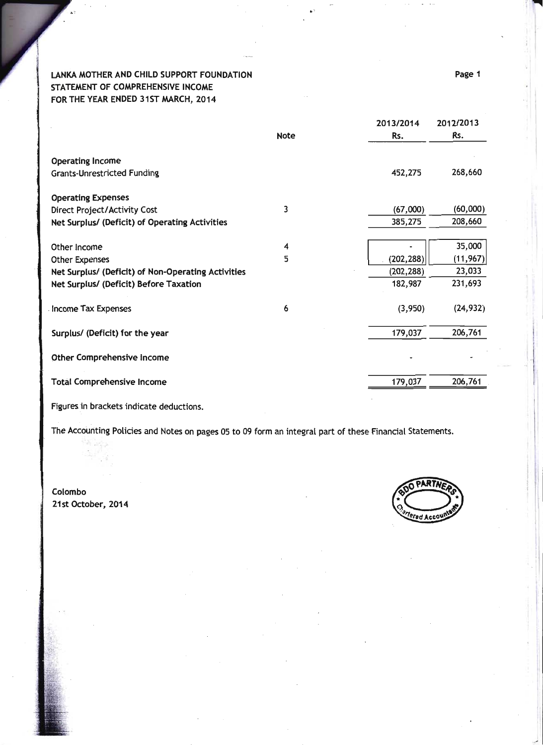# LANKA MOTHER AND CHILD SUPPORT FOUNDATION STATEMENT OF COMPREHENSIVE INCOME FOR THE YEAR ENDED 31ST MARCH, 2014

|                                                    |             | 2013/2014  | 2012/2013 |
|----------------------------------------------------|-------------|------------|-----------|
|                                                    | <b>Note</b> | Rs.        | Rs.       |
| <b>Operating Income</b>                            |             |            |           |
| <b>Grants-Unrestricted Funding</b>                 |             | 452,275    | 268,660   |
| <b>Operating Expenses</b>                          |             |            |           |
| Direct Project/Activity Cost                       | 3           | (67,000)   | (60,000)  |
| Net Surplus/ (Deficit) of Operating Activities     |             | 385,275    | 208,660   |
| Other Income                                       | 4           |            | 35,000    |
| <b>Other Expenses</b>                              | 5           | (202, 288) | (11, 967) |
| Net Surplus/ (Deficit) of Non-Operating Activities |             | (202, 288) | 23,033    |
| Net Surplus/ (Deficit) Before Taxation             |             | 182,987    | 231,693   |
| Income Tax Expenses                                | 6           | (3,950)    | (24, 932) |
| Surplus/ (Deficit) for the year                    |             | 179,037    | 206,761   |
| Other Comprehensive Income                         |             |            |           |
| <b>Total Comprehensive Income</b>                  |             | 179,037    | 206,761   |

Figures in brackets indicate deductions.

The Accounting Policies and Notes on pages 05 to 09 form an integral part of these Financial Statements.

Colombo 21st October, 2014



Page 1

t\

1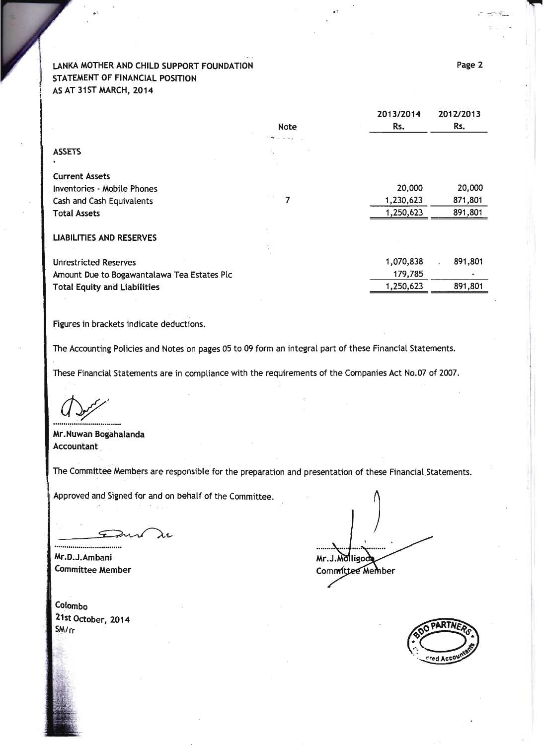# LANKA MOTHER AND CHILD SUPPORT FOUNDATION STATEMENT OF FINANCIAL POSTTION AS AT 31ST MARCH, 2014

|                                             |                   | 2013/2014 | 2012/2013 |
|---------------------------------------------|-------------------|-----------|-----------|
|                                             | <b>Note</b>       | Rs.       | Rs.       |
|                                             | President and the |           |           |
| <b>ASSETS</b>                               |                   |           |           |
|                                             |                   |           |           |
| <b>Current Assets</b>                       |                   |           |           |
| <b>Inventories - Mobile Phones</b>          |                   | 20,000    | 20,000    |
| Cash and Cash Equivalents                   | 7                 | 1,230,623 | 871,801   |
| <b>Total Assets</b>                         |                   | 1,250,623 | 891,801   |
| <b>LIABILITIES AND RESERVES</b>             |                   |           |           |
|                                             |                   |           |           |
| <b>Unrestricted Reserves</b>                |                   | 1,070,838 | 891,801   |
| Amount Due to Bogawantalawa Tea Estates Plc |                   | 179,785   |           |
| <b>Total Equity and Liabilities</b>         |                   | 1,250,623 | 891,801   |
|                                             |                   |           |           |

Figures in brackets indicate deductions.

The Accounting Policies and Notes on pages 05 to 09 form an integral part of these Financial Statements.

These Financial Statements are in compliance with the requirements of the Companies Act No.07 of 2007.

 $\Delta f$ 

Mr. Nuwan Bogaha landa Accountant

The Committee Members are responsible for the preparation and presentation of these Financial Statements

Approved and Signed for and on behalf of the Committee.

Frint Ç ----------

Atr.D.J.Ambani Committee Member

Colombo 21st October, 2014 SM/rr

.A Mr.J.Molligod Committee Member



2013t2014 2013

H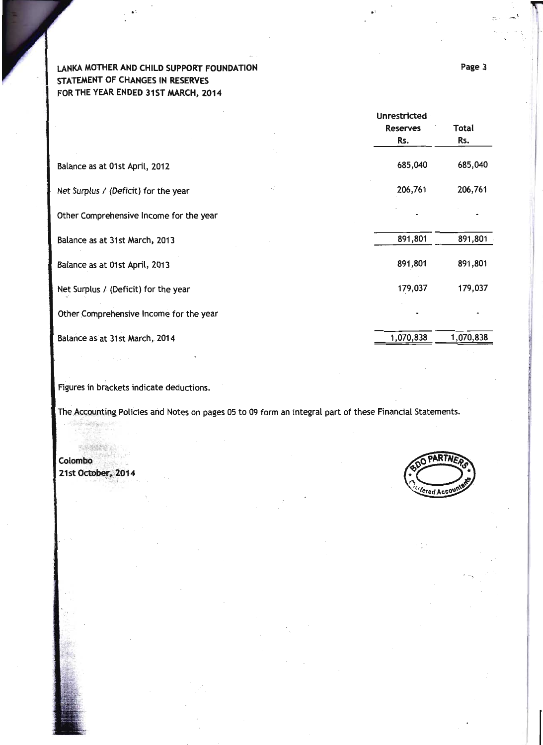# LANKA MOTHER AND CHILD SUPPORT FOUNDATION STATEMENT OF CHANGES IN RESERVES FOR THE YEAR ENDED 31ST MARCH, 2014

|                                         | <b>Unrestricted</b><br><b>Reserves</b><br>Rs. | Total<br>Rs. |
|-----------------------------------------|-----------------------------------------------|--------------|
|                                         |                                               |              |
| Balance as at 01st April, 2012          | 685,040                                       | 685,040      |
| Net Surplus / (Deficit) for the year    | 206,761                                       | 206,761      |
| Other Comprehensive Income for the year |                                               |              |
| Balance as at 31st March, 2013          | 891,801                                       | 891,801      |
| Balance as at 01st April, 2013          | 891,801                                       | 891,801      |
| Net Surplus / (Deficit) for the year    | 179,037                                       | 179,037      |
| Other Comprehensive Income for the year |                                               |              |
| Balance as at 31st March, 2014          | 1,070,838                                     | 1,070,838    |

Figures in brackets indicate deductions.

The Accounting Policies and Notes on pages 05 to 09 form an integral part of these Financial Statements.

Colombo 21st October, 2014

ered Acco

Page 3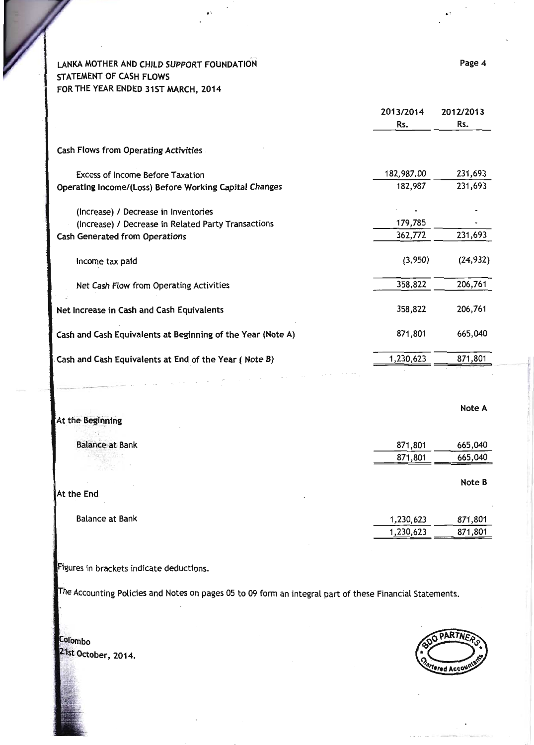LANKA MOTHER AND CHILD SUPPORT FOUNDATION STATEMENT OF CASH FLOWS FOR THE YEAR ENDED 31ST MARCH, 2014

|                                                             | 2013/2014<br>Rs. | 2012/2013<br>Rs. |
|-------------------------------------------------------------|------------------|------------------|
| <b>Cash Flows from Operating Activities</b>                 |                  |                  |
| Excess of Income Before Taxation                            | 182,987.00       | 231,693          |
| Operating Income/(Loss) Before Working Capital Changes      | 182,987          | 231,693          |
| (Increase) / Decrease in Inventories                        |                  |                  |
| (Increase) / Decrease in Related Party Transactions         | 179,785          |                  |
| <b>Cash Generated from Operations</b>                       | 362,772          | 231,693          |
| Income tax paid                                             | (3,950)          | (24, 932)        |
| Net Cash Flow from Operating Activities                     | 358,822          | 206,761          |
| Net Increase in Cash and Cash Equivalents                   | 358,822          | 206,761          |
| Cash and Cash Equivalents at Beginning of the Year (Note A) | 871,801          | 665,040          |
| Cash and Cash Equivalents at End of the Year (Note B)       | 1,230,623        | 871,801          |

|                        |           | Note A  |
|------------------------|-----------|---------|
| At the Beginning       |           |         |
|                        |           |         |
| <b>Balance at Bank</b> | 871,801   | 665,040 |
| <b>ACCOUNT CALLS</b>   | 871,801   | 665,040 |
|                        |           |         |
|                        |           | Note B  |
| At the End             |           |         |
| <b>Balance at Bank</b> | 1,230,623 | 871,801 |
|                        | 1,230,623 | 871,801 |

Figures in brackets indicate deductions.

The Accounting Policies and Notes on pages 05 to 09 form an integral part of these Financial Statements.

Colombo 21st October, 2014.

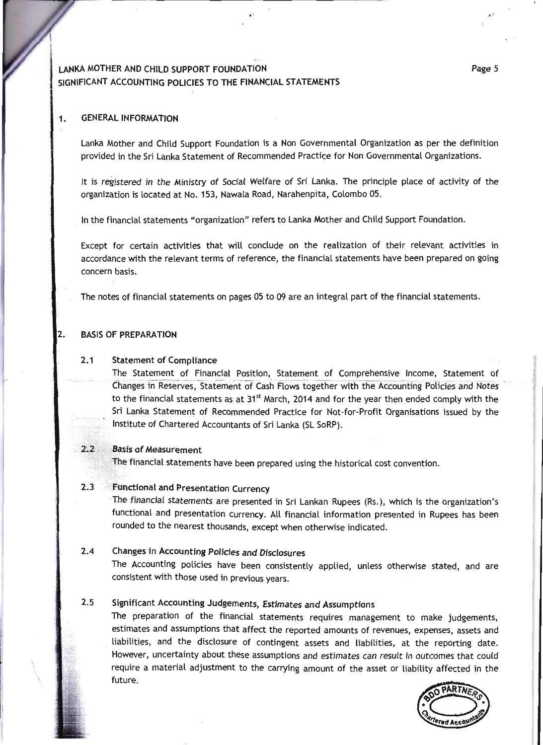# LANKA MOTHER AND CHILD SUPPORT FOUNDATION SIGNIFICANT ACCOUNTING POLICIES TO THE FINANCIAL STATEMENTS

#### **GENERAL INFORMATION**  $1.$

Lanka Mother and Child Support Foundation is a Non Governmental Organization as per the definition provided in the Sri Lanka Statement of Recommended Practice for Non Governmental Organizations.

It is registered in the Ministry of Social Welfare of Sri Lanka. The principle place of activity of the organization is located at No. 153, Nawala Road, Narahenpita, Colombo 05.

In the financial statements "organization" refers to Lanka Mother and Child Support Foundation.

Except for certain activities that will conclude on the realization of their relevant activities in accordance with the relevant terms of reference, the financial statements have been prepared on going concern basis.

The notes of financial statements on pages 05 to 09 are an integral part of the financial statements.

#### 2. **BASIS OF PREPARATION**

#### $2.1$ **Statement of Compliance**

The Statement of Financial Position, Statement of Comprehensive Income, Statement of Changes in Reserves, Statement of Cash Flows together with the Accounting Policies and Notes to the financial statements as at 31<sup>st</sup> March, 2014 and for the year then ended comply with the Sri Lanka Statement of Recommended Practice for Not-for-Profit Organisations issued by the Institute of Chartered Accountants of Sri Lanka (SL SoRP).

#### **Basis of Measurement**  $2.2$

The financial statements have been prepared using the historical cost convention.

#### $2.3$ **Functional and Presentation Currency**

The financial statements are presented in Sri Lankan Rupees (Rs.), which is the organization's functional and presentation currency. All financial information presented in Rupees has been rounded to the nearest thousands, except when otherwise indicated.

### Changes in Accounting Policies and Disclosures  $2.4$

The Accounting policies have been consistently applied, unless otherwise stated, and are consistent with those used in previous years.

### $2.5$ Significant Accounting Judgements, Estimates and Assumptions

The preparation of the financial statements requires management to make judgements, estimates and assumptions that affect the reported amounts of revenues, expenses, assets and liabilities, and the disclosure of contingent assets and liabilities, at the reporting date. However, uncertainty about these assumptions and estimates can result in outcomes that could require a material adjustment to the carrying amount of the asset or liability affected in the future.

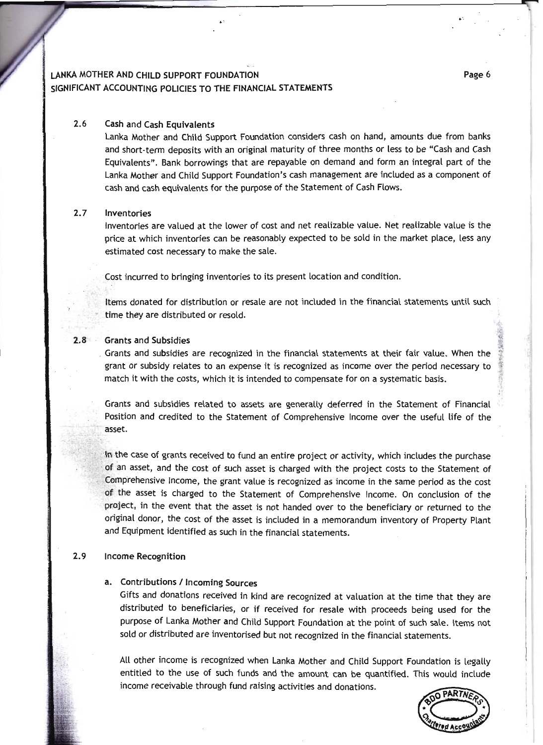# LANKA MOTHER AND CHILD SUPPORT FOUNDATION SIGNIFICANT ACCOUNTING POLICIES TO THE FINANCIAL STATEMENTS

#### Cash and Cash Equivalents 2.6

Lanka Mother and Child Support Foundation considers cash on hand, amounts due from banks and short-term deposits with an original maturity of three months or less to be "Cash and Cash Equivatents". Bank borrowings that are repayabte on demand and form an integral part of the Lanka Mother and Child Support Foundation's cash management are included as a component of cash and cash equivalents for the purpose of the Statement of Cash Flows.

#### Inventories 2.7

Inventories are valued at the lower of cost and net realizable value. Net realizable value is the price at which inventories can be reasonably expected to be sold in the market place, less any estimated cost necessary to make the sale.

cost incurred to bringing inventories to its present tocation and condition.

[tems donated for distribution or resate are not inctuded in the financiat statements untit such time they are distributed or resotd.

# 2.8 Grants and Subsidies

Grants and subsidies are recognized in the financial statements at their fair vatue. When the grant or subsidy retates to an expense it is recognized as income over the period necessary to match it with the costs, which it is intended to compensate for on a systematic basis.

Grants and subsidies related to assets are generally deferred in the Statement of Financial Position and credited to the Statement of Comprehensive lncome over the useful tife of the asset.

In the case of grants received to fund an entire project or activity, which includes the purchase of an asset, and the cost of such asset is charged with the project costs to the Statement of Comprehensive Income, the grant value is recognized as income in the same period as the cost of the asset is charged to the Statement of Comprehensive Income. On conclusion of the project, in the event that the asset is not handed over to the beneficiary or returned to the original donor, the cost of the asset is included in a memorandum inventory of Property Plant and Equipment identified as such in the financial statements.

# 2.9 Income Recognition

## Contributions / Incoming Sources

Gifts and donations received in kind are recognized at vatuation at the time that they are distributed to beneficiaries, or if received for resate with proceeds being used for the purpose of Lanka Mother and Chitd Support Foundation at the point of such sate. ltems not sold or distributed are inventorised but not recognized in the financiat statements.

Att other income is recognized when Lanka Mother and Child Support Foundation is legatty entitled to the use of such funds and the amount can be quantified. This would include income receivable through fund raising activities and donations.



&: riE4 it \*l if' i,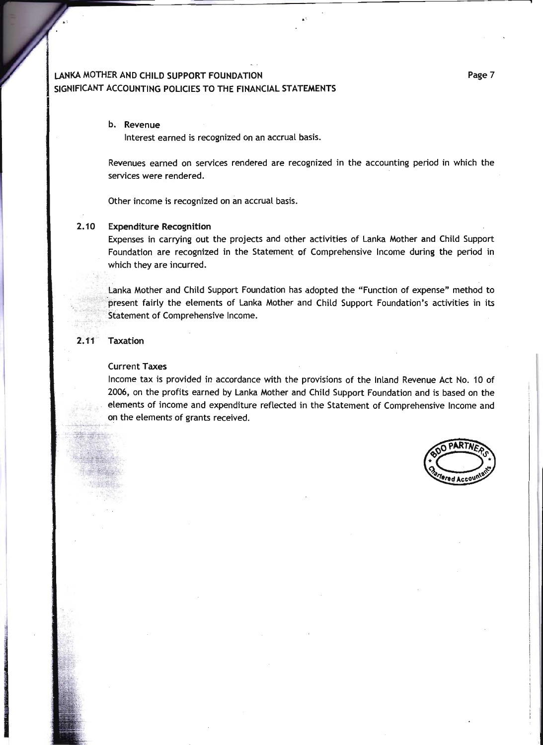# LANKA MOTHER AND CHILD SUPPORT FOUNDATION SIGNIFICANT ACCOUNTING POLICIES TO THE FINANCIAL STATEMENTS

### b. Revenue

Interest earned is recognized on an accrual basis.

Revenues eamed on services rendered are recognized in the accounting period in which the services were rendered.

Other income is recognized on an accruat basis.

### 2.10 Expenditure Recognition

Expenses in carrying out the projects and other activities of Lanka Mother and Chitd Support Foundation are recognized in the Statement of Comprehensive lncome during the period in which they are incurred.

Lanka Mother and Child Support Foundation has adopted the "Function of expense" method to present fairly the elements of Lanka Mother and Child Support Foundation's activities in its Statement of Comprehensive Income.

### 2.11 Taxation

### Current Taxes

lncome tax is provided in accordance with the provisions of the lnland Revenue Act No. 10 of 2006, on the profits earned by Lanka Mother and Chitd Support Foundation and is based on the elements of income and expenditure reflected in the Statement of Comprehensive Income and on the etements of grants received.

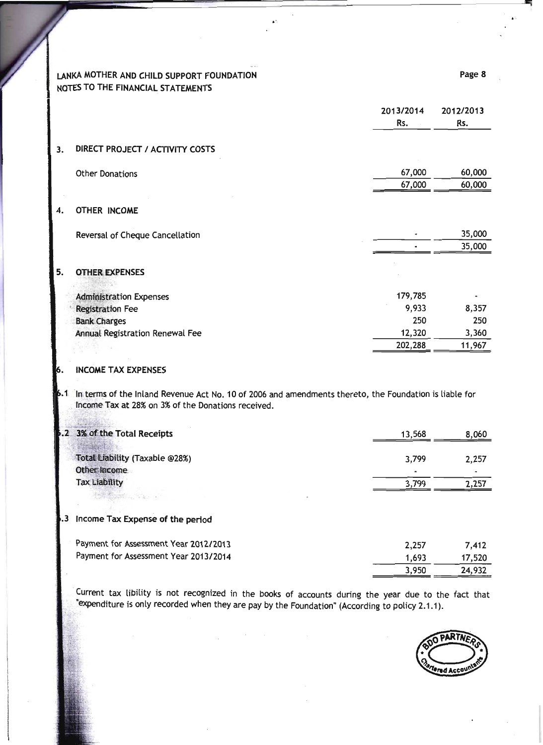# LANKA MOTHER AND CHILD SUPPORT FOUNDATION NOTES TO THE FINANCIAL STATEMENTS

|                                 | 2013/2014<br>Rs. | 2012/2013<br>Rs. |
|---------------------------------|------------------|------------------|
| DIRECT PROJECT / ACTIVITY COSTS |                  |                  |
| <b>Other Donations</b>          | 67,000           | 60,000           |
|                                 | 67,000           | 60,000           |
| OTHER INCOME                    |                  |                  |
| Reversal of Cheque Cancellation |                  | 35,000           |
|                                 |                  | 35,000           |
| <b>OTHER EXPENSES</b>           |                  |                  |
| <b>Administration Expenses</b>  | 179,785          |                  |
| <b>Registration Fee</b>         | 9,933            | 8,357            |
| <b>Bank Charges</b>             | 250              | 250              |
| Annual Registration Renewal Fee | 12,320           | 3,360            |
|                                 | 202,288          | 11,967           |

#### **INCOME TAX EXPENSES** 6.

 $3.$ 

4.

5.

6.1 In terms of the Inland Revenue Act No. 10 of 2006 and amendments thereto, the Foundation is liable for Income Tax at 28% on 3% of the Donations received.

| .2 3% of the Total Receipts           | 13,568 | 8,060 |
|---------------------------------------|--------|-------|
|                                       |        |       |
| Total Liability (Taxable @28%)        | 3,799  | 2,257 |
| Other Income                          |        |       |
| <b>Tax Liability</b>                  | 3,799  | 2,257 |
| <b>PARTICULAR AND STATE</b>           |        |       |
|                                       |        |       |
| .3 Income Tax Expense of the period   |        |       |
| Payment for Assessment Year 2012/2013 | 2,257  | 7,412 |
|                                       |        |       |

Payment for Assessment Year 2013/2014 1,693 17,520 3,950 24,932

Current tax libility is not recognized in the books of accounts during the year due to the fact that "expenditure is only recorded when they are pay by the Foundation" (According to policy 2.1.1).



Page 8